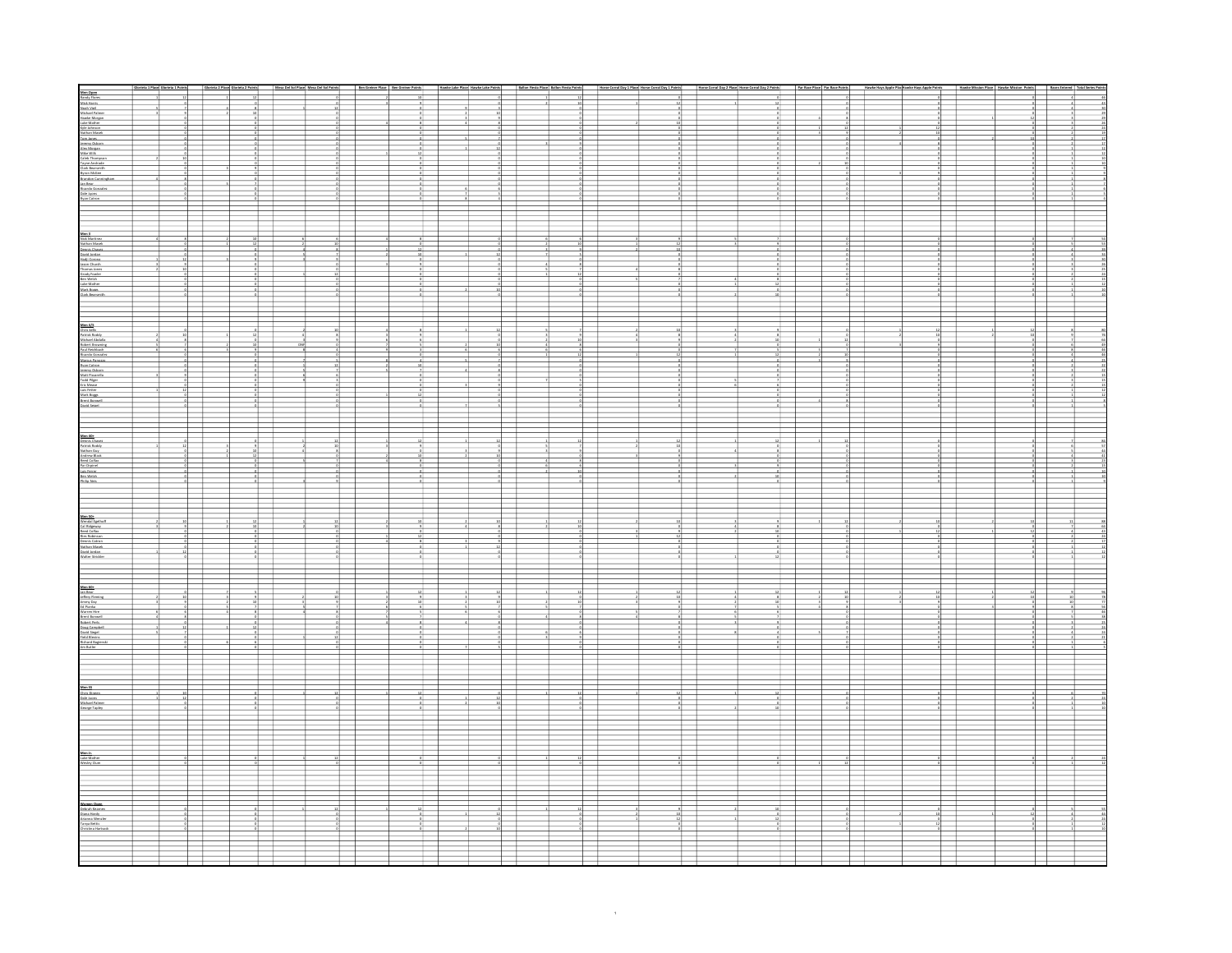|                                                                                                                                                                                                                                                                                   |                                                                                                                                                                                                                                                                                                                                                                                                                                                                  |                                                                                                                                                                                                                                                                                                                                                                                                                                                              |                                                        |                |    | 10000000                                                                                                                                                                                                                                                                                                                                                                                                                                                  |               |  |  |  |  |                   |  |
|-----------------------------------------------------------------------------------------------------------------------------------------------------------------------------------------------------------------------------------------------------------------------------------|------------------------------------------------------------------------------------------------------------------------------------------------------------------------------------------------------------------------------------------------------------------------------------------------------------------------------------------------------------------------------------------------------------------------------------------------------------------|--------------------------------------------------------------------------------------------------------------------------------------------------------------------------------------------------------------------------------------------------------------------------------------------------------------------------------------------------------------------------------------------------------------------------------------------------------------|--------------------------------------------------------|----------------|----|-----------------------------------------------------------------------------------------------------------------------------------------------------------------------------------------------------------------------------------------------------------------------------------------------------------------------------------------------------------------------------------------------------------------------------------------------------------|---------------|--|--|--|--|-------------------|--|
|                                                                                                                                                                                                                                                                                   |                                                                                                                                                                                                                                                                                                                                                                                                                                                                  |                                                                                                                                                                                                                                                                                                                                                                                                                                                              |                                                        |                |    |                                                                                                                                                                                                                                                                                                                                                                                                                                                           |               |  |  |  |  |                   |  |
|                                                                                                                                                                                                                                                                                   |                                                                                                                                                                                                                                                                                                                                                                                                                                                                  |                                                                                                                                                                                                                                                                                                                                                                                                                                                              |                                                        |                |    |                                                                                                                                                                                                                                                                                                                                                                                                                                                           |               |  |  |  |  |                   |  |
|                                                                                                                                                                                                                                                                                   |                                                                                                                                                                                                                                                                                                                                                                                                                                                                  |                                                                                                                                                                                                                                                                                                                                                                                                                                                              |                                                        |                |    |                                                                                                                                                                                                                                                                                                                                                                                                                                                           |               |  |  |  |  |                   |  |
|                                                                                                                                                                                                                                                                                   |                                                                                                                                                                                                                                                                                                                                                                                                                                                                  |                                                                                                                                                                                                                                                                                                                                                                                                                                                              |                                                        |                |    |                                                                                                                                                                                                                                                                                                                                                                                                                                                           |               |  |  |  |  |                   |  |
|                                                                                                                                                                                                                                                                                   |                                                                                                                                                                                                                                                                                                                                                                                                                                                                  |                                                                                                                                                                                                                                                                                                                                                                                                                                                              |                                                        |                |    |                                                                                                                                                                                                                                                                                                                                                                                                                                                           |               |  |  |  |  |                   |  |
|                                                                                                                                                                                                                                                                                   |                                                                                                                                                                                                                                                                                                                                                                                                                                                                  |                                                                                                                                                                                                                                                                                                                                                                                                                                                              |                                                        |                |    |                                                                                                                                                                                                                                                                                                                                                                                                                                                           |               |  |  |  |  |                   |  |
|                                                                                                                                                                                                                                                                                   |                                                                                                                                                                                                                                                                                                                                                                                                                                                                  |                                                                                                                                                                                                                                                                                                                                                                                                                                                              |                                                        |                |    |                                                                                                                                                                                                                                                                                                                                                                                                                                                           |               |  |  |  |  |                   |  |
|                                                                                                                                                                                                                                                                                   |                                                                                                                                                                                                                                                                                                                                                                                                                                                                  |                                                                                                                                                                                                                                                                                                                                                                                                                                                              |                                                        |                |    |                                                                                                                                                                                                                                                                                                                                                                                                                                                           |               |  |  |  |  |                   |  |
|                                                                                                                                                                                                                                                                                   |                                                                                                                                                                                                                                                                                                                                                                                                                                                                  |                                                                                                                                                                                                                                                                                                                                                                                                                                                              |                                                        |                |    |                                                                                                                                                                                                                                                                                                                                                                                                                                                           |               |  |  |  |  |                   |  |
|                                                                                                                                                                                                                                                                                   |                                                                                                                                                                                                                                                                                                                                                                                                                                                                  |                                                                                                                                                                                                                                                                                                                                                                                                                                                              |                                                        |                |    |                                                                                                                                                                                                                                                                                                                                                                                                                                                           |               |  |  |  |  |                   |  |
|                                                                                                                                                                                                                                                                                   |                                                                                                                                                                                                                                                                                                                                                                                                                                                                  |                                                                                                                                                                                                                                                                                                                                                                                                                                                              |                                                        |                |    | $+$                                                                                                                                                                                                                                                                                                                                                                                                                                                       |               |  |  |  |  |                   |  |
|                                                                                                                                                                                                                                                                                   |                                                                                                                                                                                                                                                                                                                                                                                                                                                                  |                                                                                                                                                                                                                                                                                                                                                                                                                                                              |                                                        |                |    |                                                                                                                                                                                                                                                                                                                                                                                                                                                           |               |  |  |  |  |                   |  |
|                                                                                                                                                                                                                                                                                   |                                                                                                                                                                                                                                                                                                                                                                                                                                                                  |                                                                                                                                                                                                                                                                                                                                                                                                                                                              |                                                        |                |    |                                                                                                                                                                                                                                                                                                                                                                                                                                                           |               |  |  |  |  |                   |  |
|                                                                                                                                                                                                                                                                                   |                                                                                                                                                                                                                                                                                                                                                                                                                                                                  |                                                                                                                                                                                                                                                                                                                                                                                                                                                              |                                                        |                |    |                                                                                                                                                                                                                                                                                                                                                                                                                                                           |               |  |  |  |  |                   |  |
|                                                                                                                                                                                                                                                                                   |                                                                                                                                                                                                                                                                                                                                                                                                                                                                  |                                                                                                                                                                                                                                                                                                                                                                                                                                                              |                                                        |                |    |                                                                                                                                                                                                                                                                                                                                                                                                                                                           |               |  |  |  |  |                   |  |
| Mari<br>Mick Martinez<br>Stathan Massk<br>Convid Jordan<br>Consider Catar<br>Mari<br>Mari Thomas Rose<br>Stath Vender<br>Stath Mark<br>Liske Market<br>Liske Market<br>Liske Market<br>Clark Basaravidh<br>Liske Market<br>Clark Basaravidh                                       |                                                                                                                                                                                                                                                                                                                                                                                                                                                                  |                                                                                                                                                                                                                                                                                                                                                                                                                                                              |                                                        |                |    |                                                                                                                                                                                                                                                                                                                                                                                                                                                           |               |  |  |  |  |                   |  |
|                                                                                                                                                                                                                                                                                   |                                                                                                                                                                                                                                                                                                                                                                                                                                                                  |                                                                                                                                                                                                                                                                                                                                                                                                                                                              |                                                        |                |    |                                                                                                                                                                                                                                                                                                                                                                                                                                                           |               |  |  |  |  |                   |  |
|                                                                                                                                                                                                                                                                                   |                                                                                                                                                                                                                                                                                                                                                                                                                                                                  |                                                                                                                                                                                                                                                                                                                                                                                                                                                              |                                                        |                |    |                                                                                                                                                                                                                                                                                                                                                                                                                                                           |               |  |  |  |  |                   |  |
|                                                                                                                                                                                                                                                                                   | $0.058810$                                                                                                                                                                                                                                                                                                                                                                                                                                                       |                                                                                                                                                                                                                                                                                                                                                                                                                                                              |                                                        |                |    |                                                                                                                                                                                                                                                                                                                                                                                                                                                           |               |  |  |  |  |                   |  |
|                                                                                                                                                                                                                                                                                   |                                                                                                                                                                                                                                                                                                                                                                                                                                                                  |                                                                                                                                                                                                                                                                                                                                                                                                                                                              |                                                        |                |    |                                                                                                                                                                                                                                                                                                                                                                                                                                                           |               |  |  |  |  |                   |  |
|                                                                                                                                                                                                                                                                                   |                                                                                                                                                                                                                                                                                                                                                                                                                                                                  |                                                                                                                                                                                                                                                                                                                                                                                                                                                              |                                                        |                |    |                                                                                                                                                                                                                                                                                                                                                                                                                                                           |               |  |  |  |  | $\frac{1}{\circ}$ |  |
|                                                                                                                                                                                                                                                                                   |                                                                                                                                                                                                                                                                                                                                                                                                                                                                  |                                                                                                                                                                                                                                                                                                                                                                                                                                                              |                                                        |                |    |                                                                                                                                                                                                                                                                                                                                                                                                                                                           |               |  |  |  |  |                   |  |
|                                                                                                                                                                                                                                                                                   |                                                                                                                                                                                                                                                                                                                                                                                                                                                                  |                                                                                                                                                                                                                                                                                                                                                                                                                                                              |                                                        |                |    |                                                                                                                                                                                                                                                                                                                                                                                                                                                           |               |  |  |  |  |                   |  |
|                                                                                                                                                                                                                                                                                   |                                                                                                                                                                                                                                                                                                                                                                                                                                                                  | $\circ$                                                                                                                                                                                                                                                                                                                                                                                                                                                      |                                                        |                |    |                                                                                                                                                                                                                                                                                                                                                                                                                                                           |               |  |  |  |  |                   |  |
|                                                                                                                                                                                                                                                                                   |                                                                                                                                                                                                                                                                                                                                                                                                                                                                  |                                                                                                                                                                                                                                                                                                                                                                                                                                                              |                                                        |                |    |                                                                                                                                                                                                                                                                                                                                                                                                                                                           |               |  |  |  |  |                   |  |
|                                                                                                                                                                                                                                                                                   |                                                                                                                                                                                                                                                                                                                                                                                                                                                                  |                                                                                                                                                                                                                                                                                                                                                                                                                                                              |                                                        |                |    |                                                                                                                                                                                                                                                                                                                                                                                                                                                           |               |  |  |  |  |                   |  |
|                                                                                                                                                                                                                                                                                   |                                                                                                                                                                                                                                                                                                                                                                                                                                                                  |                                                                                                                                                                                                                                                                                                                                                                                                                                                              |                                                        |                |    |                                                                                                                                                                                                                                                                                                                                                                                                                                                           |               |  |  |  |  |                   |  |
|                                                                                                                                                                                                                                                                                   |                                                                                                                                                                                                                                                                                                                                                                                                                                                                  |                                                                                                                                                                                                                                                                                                                                                                                                                                                              |                                                        |                |    |                                                                                                                                                                                                                                                                                                                                                                                                                                                           |               |  |  |  |  |                   |  |
|                                                                                                                                                                                                                                                                                   |                                                                                                                                                                                                                                                                                                                                                                                                                                                                  |                                                                                                                                                                                                                                                                                                                                                                                                                                                              |                                                        |                |    |                                                                                                                                                                                                                                                                                                                                                                                                                                                           |               |  |  |  |  |                   |  |
|                                                                                                                                                                                                                                                                                   |                                                                                                                                                                                                                                                                                                                                                                                                                                                                  |                                                                                                                                                                                                                                                                                                                                                                                                                                                              |                                                        |                |    |                                                                                                                                                                                                                                                                                                                                                                                                                                                           |               |  |  |  |  |                   |  |
|                                                                                                                                                                                                                                                                                   |                                                                                                                                                                                                                                                                                                                                                                                                                                                                  | $\begin{array}{c c c c c} \multicolumn{2}{c }{\multicolumn{2}{c }{\multicolumn{2}{c }{\multicolumn{2}{c}}{}} & \multicolumn{2}{c }{\multicolumn{2}{c }{\multicolumn{2}{c}}{}} & \multicolumn{2}{c }{\multicolumn{2}{c }{\multicolumn{2}{c}}{}} & \multicolumn{2}{c }{\multicolumn{2}{c }{\multicolumn{2}{c}}{}} & \multicolumn{2}{c }{\multicolumn{2}{c }{\multicolumn{2}{c}}{}} & \multicolumn{2}{c }{\multicolumn{2}{c }{\multicolumn{2}{c}}{}} & \multic$ |                                                        |                |    | $\frac{10}{9}$                                                                                                                                                                                                                                                                                                                                                                                                                                            | $\frac{1}{u}$ |  |  |  |  |                   |  |
|                                                                                                                                                                                                                                                                                   |                                                                                                                                                                                                                                                                                                                                                                                                                                                                  |                                                                                                                                                                                                                                                                                                                                                                                                                                                              |                                                        |                |    |                                                                                                                                                                                                                                                                                                                                                                                                                                                           |               |  |  |  |  |                   |  |
|                                                                                                                                                                                                                                                                                   | $\begin{array}{c c c c c c} \multicolumn{2}{c }{\multicolumn{2}{c }{\multicolumn{2}{c }{\multicolumn{2}{c }{\multicolumn{2}{c}}}} & \multicolumn{2}{c }{\multicolumn{2}{c }{\multicolumn{2}{c }{\multicolumn{2}{c}}}} \\ \multicolumn{2}{c }{\multicolumn{2}{c }{\multicolumn{2}{c }{\multicolumn{2}{c}}}} & \multicolumn{2}{c }{\multicolumn{2}{c }{\multicolumn{2}{c}}}} & \multicolumn{2}{c }{\multicolumn{2}{c }{\multicolumn{2}{c}}}} \\ \multicolumn{2}{c$ | $\frac{1}{\circ}$                                                                                                                                                                                                                                                                                                                                                                                                                                            |                                                        | $\frac{5}{12}$ | 10 | $\begin{array}{c c c c c c} \multicolumn{2}{c }{\multicolumn{2}{c }{\multicolumn{2}{c }{\multicolumn{2}{c}}}} & \multicolumn{2}{c }{\multicolumn{2}{c }{\multicolumn{2}{c}}}} \\ \multicolumn{2}{c }{\multicolumn{2}{c }{\multicolumn{2}{c }{\multicolumn{2}{c}}}} & \multicolumn{2}{c }{\multicolumn{2}{c }{\multicolumn{2}{c}}}} & \multicolumn{2}{c }{\multicolumn{2}{c}} } \multicolumn{2}{c }{\multicolumn{2}{c }{\multicolumn{2}{c}}}} \end{array}$ | $\circ$       |  |  |  |  |                   |  |
| Man 4/2<br>Chris kelly<br>Chris kelly<br>Michael Abdalla<br>Michael Abdalla<br>Paul Reichheich<br>Paul Reichheich<br>Martin Chris<br>Paul Chris Reich<br>Martin Chris<br>Martin Chris<br>Chris Mann<br>Chris Mann<br>Lich Mann<br>Lich Mann<br>Lich Mann<br>Lich Mann<br>Lich Man |                                                                                                                                                                                                                                                                                                                                                                                                                                                                  |                                                                                                                                                                                                                                                                                                                                                                                                                                                              |                                                        |                |    |                                                                                                                                                                                                                                                                                                                                                                                                                                                           |               |  |  |  |  |                   |  |
|                                                                                                                                                                                                                                                                                   |                                                                                                                                                                                                                                                                                                                                                                                                                                                                  |                                                                                                                                                                                                                                                                                                                                                                                                                                                              |                                                        |                |    |                                                                                                                                                                                                                                                                                                                                                                                                                                                           |               |  |  |  |  |                   |  |
|                                                                                                                                                                                                                                                                                   |                                                                                                                                                                                                                                                                                                                                                                                                                                                                  |                                                                                                                                                                                                                                                                                                                                                                                                                                                              |                                                        |                |    |                                                                                                                                                                                                                                                                                                                                                                                                                                                           |               |  |  |  |  |                   |  |
|                                                                                                                                                                                                                                                                                   |                                                                                                                                                                                                                                                                                                                                                                                                                                                                  |                                                                                                                                                                                                                                                                                                                                                                                                                                                              |                                                        |                |    |                                                                                                                                                                                                                                                                                                                                                                                                                                                           |               |  |  |  |  |                   |  |
|                                                                                                                                                                                                                                                                                   |                                                                                                                                                                                                                                                                                                                                                                                                                                                                  |                                                                                                                                                                                                                                                                                                                                                                                                                                                              |                                                        |                |    |                                                                                                                                                                                                                                                                                                                                                                                                                                                           |               |  |  |  |  |                   |  |
|                                                                                                                                                                                                                                                                                   |                                                                                                                                                                                                                                                                                                                                                                                                                                                                  |                                                                                                                                                                                                                                                                                                                                                                                                                                                              |                                                        |                |    |                                                                                                                                                                                                                                                                                                                                                                                                                                                           |               |  |  |  |  |                   |  |
|                                                                                                                                                                                                                                                                                   |                                                                                                                                                                                                                                                                                                                                                                                                                                                                  |                                                                                                                                                                                                                                                                                                                                                                                                                                                              |                                                        |                |    |                                                                                                                                                                                                                                                                                                                                                                                                                                                           |               |  |  |  |  |                   |  |
|                                                                                                                                                                                                                                                                                   |                                                                                                                                                                                                                                                                                                                                                                                                                                                                  |                                                                                                                                                                                                                                                                                                                                                                                                                                                              |                                                        |                |    |                                                                                                                                                                                                                                                                                                                                                                                                                                                           |               |  |  |  |  |                   |  |
|                                                                                                                                                                                                                                                                                   |                                                                                                                                                                                                                                                                                                                                                                                                                                                                  |                                                                                                                                                                                                                                                                                                                                                                                                                                                              |                                                        |                |    |                                                                                                                                                                                                                                                                                                                                                                                                                                                           |               |  |  |  |  |                   |  |
| den 40+<br>Jennis Chavez<br>Vatrick Roddy<br>Vathan Gov<br>Indel Colfax<br>Vat Gronnel<br>John Welch<br>John Welch<br>Vathan Welch<br>Vathan Welch                                                                                                                                |                                                                                                                                                                                                                                                                                                                                                                                                                                                                  |                                                                                                                                                                                                                                                                                                                                                                                                                                                              |                                                        |                |    |                                                                                                                                                                                                                                                                                                                                                                                                                                                           |               |  |  |  |  |                   |  |
|                                                                                                                                                                                                                                                                                   |                                                                                                                                                                                                                                                                                                                                                                                                                                                                  |                                                                                                                                                                                                                                                                                                                                                                                                                                                              |                                                        |                |    |                                                                                                                                                                                                                                                                                                                                                                                                                                                           |               |  |  |  |  |                   |  |
|                                                                                                                                                                                                                                                                                   |                                                                                                                                                                                                                                                                                                                                                                                                                                                                  |                                                                                                                                                                                                                                                                                                                                                                                                                                                              |                                                        |                |    |                                                                                                                                                                                                                                                                                                                                                                                                                                                           |               |  |  |  |  |                   |  |
|                                                                                                                                                                                                                                                                                   |                                                                                                                                                                                                                                                                                                                                                                                                                                                                  |                                                                                                                                                                                                                                                                                                                                                                                                                                                              |                                                        |                |    |                                                                                                                                                                                                                                                                                                                                                                                                                                                           |               |  |  |  |  |                   |  |
|                                                                                                                                                                                                                                                                                   |                                                                                                                                                                                                                                                                                                                                                                                                                                                                  |                                                                                                                                                                                                                                                                                                                                                                                                                                                              |                                                        |                |    |                                                                                                                                                                                                                                                                                                                                                                                                                                                           |               |  |  |  |  |                   |  |
|                                                                                                                                                                                                                                                                                   |                                                                                                                                                                                                                                                                                                                                                                                                                                                                  |                                                                                                                                                                                                                                                                                                                                                                                                                                                              |                                                        |                |    |                                                                                                                                                                                                                                                                                                                                                                                                                                                           |               |  |  |  |  |                   |  |
|                                                                                                                                                                                                                                                                                   |                                                                                                                                                                                                                                                                                                                                                                                                                                                                  |                                                                                                                                                                                                                                                                                                                                                                                                                                                              |                                                        |                |    |                                                                                                                                                                                                                                                                                                                                                                                                                                                           |               |  |  |  |  |                   |  |
|                                                                                                                                                                                                                                                                                   |                                                                                                                                                                                                                                                                                                                                                                                                                                                                  |                                                                                                                                                                                                                                                                                                                                                                                                                                                              |                                                        |                |    |                                                                                                                                                                                                                                                                                                                                                                                                                                                           |               |  |  |  |  |                   |  |
|                                                                                                                                                                                                                                                                                   |                                                                                                                                                                                                                                                                                                                                                                                                                                                                  |                                                                                                                                                                                                                                                                                                                                                                                                                                                              |                                                        |                |    |                                                                                                                                                                                                                                                                                                                                                                                                                                                           |               |  |  |  |  |                   |  |
|                                                                                                                                                                                                                                                                                   |                                                                                                                                                                                                                                                                                                                                                                                                                                                                  |                                                                                                                                                                                                                                                                                                                                                                                                                                                              |                                                        |                |    |                                                                                                                                                                                                                                                                                                                                                                                                                                                           |               |  |  |  |  |                   |  |
|                                                                                                                                                                                                                                                                                   |                                                                                                                                                                                                                                                                                                                                                                                                                                                                  |                                                                                                                                                                                                                                                                                                                                                                                                                                                              |                                                        |                |    |                                                                                                                                                                                                                                                                                                                                                                                                                                                           |               |  |  |  |  |                   |  |
|                                                                                                                                                                                                                                                                                   |                                                                                                                                                                                                                                                                                                                                                                                                                                                                  |                                                                                                                                                                                                                                                                                                                                                                                                                                                              |                                                        |                |    |                                                                                                                                                                                                                                                                                                                                                                                                                                                           |               |  |  |  |  |                   |  |
|                                                                                                                                                                                                                                                                                   |                                                                                                                                                                                                                                                                                                                                                                                                                                                                  |                                                                                                                                                                                                                                                                                                                                                                                                                                                              |                                                        |                |    |                                                                                                                                                                                                                                                                                                                                                                                                                                                           |               |  |  |  |  |                   |  |
|                                                                                                                                                                                                                                                                                   |                                                                                                                                                                                                                                                                                                                                                                                                                                                                  |                                                                                                                                                                                                                                                                                                                                                                                                                                                              |                                                        |                |    |                                                                                                                                                                                                                                                                                                                                                                                                                                                           |               |  |  |  |  |                   |  |
| Men 50+<br>Wendal Eesihoff<br>Cal Ridenway<br>Reed Colfax<br>Sim Robinson<br>Dennis Catron<br>Nathan Masek<br>Denid Jordan<br>Walter Stridder                                                                                                                                     |                                                                                                                                                                                                                                                                                                                                                                                                                                                                  |                                                                                                                                                                                                                                                                                                                                                                                                                                                              |                                                        |                |    |                                                                                                                                                                                                                                                                                                                                                                                                                                                           |               |  |  |  |  |                   |  |
|                                                                                                                                                                                                                                                                                   |                                                                                                                                                                                                                                                                                                                                                                                                                                                                  |                                                                                                                                                                                                                                                                                                                                                                                                                                                              |                                                        |                |    |                                                                                                                                                                                                                                                                                                                                                                                                                                                           |               |  |  |  |  |                   |  |
|                                                                                                                                                                                                                                                                                   |                                                                                                                                                                                                                                                                                                                                                                                                                                                                  |                                                                                                                                                                                                                                                                                                                                                                                                                                                              |                                                        |                |    |                                                                                                                                                                                                                                                                                                                                                                                                                                                           |               |  |  |  |  |                   |  |
|                                                                                                                                                                                                                                                                                   |                                                                                                                                                                                                                                                                                                                                                                                                                                                                  |                                                                                                                                                                                                                                                                                                                                                                                                                                                              |                                                        |                |    |                                                                                                                                                                                                                                                                                                                                                                                                                                                           |               |  |  |  |  |                   |  |
|                                                                                                                                                                                                                                                                                   |                                                                                                                                                                                                                                                                                                                                                                                                                                                                  |                                                                                                                                                                                                                                                                                                                                                                                                                                                              |                                                        |                |    |                                                                                                                                                                                                                                                                                                                                                                                                                                                           |               |  |  |  |  |                   |  |
|                                                                                                                                                                                                                                                                                   |                                                                                                                                                                                                                                                                                                                                                                                                                                                                  |                                                                                                                                                                                                                                                                                                                                                                                                                                                              |                                                        |                |    |                                                                                                                                                                                                                                                                                                                                                                                                                                                           |               |  |  |  |  |                   |  |
|                                                                                                                                                                                                                                                                                   |                                                                                                                                                                                                                                                                                                                                                                                                                                                                  |                                                                                                                                                                                                                                                                                                                                                                                                                                                              |                                                        |                |    |                                                                                                                                                                                                                                                                                                                                                                                                                                                           |               |  |  |  |  |                   |  |
|                                                                                                                                                                                                                                                                                   |                                                                                                                                                                                                                                                                                                                                                                                                                                                                  |                                                                                                                                                                                                                                                                                                                                                                                                                                                              |                                                        |                |    |                                                                                                                                                                                                                                                                                                                                                                                                                                                           |               |  |  |  |  |                   |  |
|                                                                                                                                                                                                                                                                                   |                                                                                                                                                                                                                                                                                                                                                                                                                                                                  |                                                                                                                                                                                                                                                                                                                                                                                                                                                              |                                                        |                |    |                                                                                                                                                                                                                                                                                                                                                                                                                                                           |               |  |  |  |  |                   |  |
|                                                                                                                                                                                                                                                                                   |                                                                                                                                                                                                                                                                                                                                                                                                                                                                  |                                                                                                                                                                                                                                                                                                                                                                                                                                                              |                                                        |                |    |                                                                                                                                                                                                                                                                                                                                                                                                                                                           |               |  |  |  |  |                   |  |
|                                                                                                                                                                                                                                                                                   |                                                                                                                                                                                                                                                                                                                                                                                                                                                                  |                                                                                                                                                                                                                                                                                                                                                                                                                                                              |                                                        |                |    |                                                                                                                                                                                                                                                                                                                                                                                                                                                           |               |  |  |  |  |                   |  |
|                                                                                                                                                                                                                                                                                   |                                                                                                                                                                                                                                                                                                                                                                                                                                                                  |                                                                                                                                                                                                                                                                                                                                                                                                                                                              |                                                        |                |    |                                                                                                                                                                                                                                                                                                                                                                                                                                                           |               |  |  |  |  |                   |  |
|                                                                                                                                                                                                                                                                                   |                                                                                                                                                                                                                                                                                                                                                                                                                                                                  | $\circ$                                                                                                                                                                                                                                                                                                                                                                                                                                                      |                                                        |                |    |                                                                                                                                                                                                                                                                                                                                                                                                                                                           |               |  |  |  |  |                   |  |
|                                                                                                                                                                                                                                                                                   |                                                                                                                                                                                                                                                                                                                                                                                                                                                                  |                                                                                                                                                                                                                                                                                                                                                                                                                                                              | $\begin{array}{c} \circ \\ \circ \\ \circ \end{array}$ |                |    |                                                                                                                                                                                                                                                                                                                                                                                                                                                           |               |  |  |  |  |                   |  |
| Men 60+<br>Ann Bear<br>American Henrice<br>American House<br>Street Bornsell<br>Street Bornsell<br>Coug Carrepbell<br>Ond Sterlin<br>Coug Carrepbell<br>Ond Sterlin<br>Richard Bagieruki<br>Richard Bagieruki<br>Richard Bagieruki<br>Richard Bagieruki                           |                                                                                                                                                                                                                                                                                                                                                                                                                                                                  |                                                                                                                                                                                                                                                                                                                                                                                                                                                              |                                                        |                |    |                                                                                                                                                                                                                                                                                                                                                                                                                                                           |               |  |  |  |  |                   |  |
|                                                                                                                                                                                                                                                                                   |                                                                                                                                                                                                                                                                                                                                                                                                                                                                  |                                                                                                                                                                                                                                                                                                                                                                                                                                                              |                                                        |                |    |                                                                                                                                                                                                                                                                                                                                                                                                                                                           |               |  |  |  |  |                   |  |
|                                                                                                                                                                                                                                                                                   |                                                                                                                                                                                                                                                                                                                                                                                                                                                                  |                                                                                                                                                                                                                                                                                                                                                                                                                                                              |                                                        |                |    |                                                                                                                                                                                                                                                                                                                                                                                                                                                           |               |  |  |  |  |                   |  |
|                                                                                                                                                                                                                                                                                   |                                                                                                                                                                                                                                                                                                                                                                                                                                                                  |                                                                                                                                                                                                                                                                                                                                                                                                                                                              |                                                        |                |    |                                                                                                                                                                                                                                                                                                                                                                                                                                                           |               |  |  |  |  |                   |  |
|                                                                                                                                                                                                                                                                                   |                                                                                                                                                                                                                                                                                                                                                                                                                                                                  |                                                                                                                                                                                                                                                                                                                                                                                                                                                              |                                                        |                |    |                                                                                                                                                                                                                                                                                                                                                                                                                                                           |               |  |  |  |  |                   |  |
|                                                                                                                                                                                                                                                                                   |                                                                                                                                                                                                                                                                                                                                                                                                                                                                  |                                                                                                                                                                                                                                                                                                                                                                                                                                                              |                                                        |                |    |                                                                                                                                                                                                                                                                                                                                                                                                                                                           |               |  |  |  |  |                   |  |
| Men 35<br>Chris Dineen<br>Dale Lyons<br>Michael Palmer<br>Georee Taoley                                                                                                                                                                                                           |                                                                                                                                                                                                                                                                                                                                                                                                                                                                  |                                                                                                                                                                                                                                                                                                                                                                                                                                                              |                                                        |                |    |                                                                                                                                                                                                                                                                                                                                                                                                                                                           |               |  |  |  |  |                   |  |
|                                                                                                                                                                                                                                                                                   |                                                                                                                                                                                                                                                                                                                                                                                                                                                                  |                                                                                                                                                                                                                                                                                                                                                                                                                                                              |                                                        |                |    |                                                                                                                                                                                                                                                                                                                                                                                                                                                           |               |  |  |  |  |                   |  |
|                                                                                                                                                                                                                                                                                   |                                                                                                                                                                                                                                                                                                                                                                                                                                                                  |                                                                                                                                                                                                                                                                                                                                                                                                                                                              |                                                        |                |    |                                                                                                                                                                                                                                                                                                                                                                                                                                                           |               |  |  |  |  |                   |  |
|                                                                                                                                                                                                                                                                                   |                                                                                                                                                                                                                                                                                                                                                                                                                                                                  |                                                                                                                                                                                                                                                                                                                                                                                                                                                              |                                                        |                |    |                                                                                                                                                                                                                                                                                                                                                                                                                                                           |               |  |  |  |  |                   |  |
|                                                                                                                                                                                                                                                                                   |                                                                                                                                                                                                                                                                                                                                                                                                                                                                  |                                                                                                                                                                                                                                                                                                                                                                                                                                                              |                                                        |                |    |                                                                                                                                                                                                                                                                                                                                                                                                                                                           |               |  |  |  |  |                   |  |
|                                                                                                                                                                                                                                                                                   |                                                                                                                                                                                                                                                                                                                                                                                                                                                                  |                                                                                                                                                                                                                                                                                                                                                                                                                                                              |                                                        |                |    |                                                                                                                                                                                                                                                                                                                                                                                                                                                           |               |  |  |  |  |                   |  |
|                                                                                                                                                                                                                                                                                   |                                                                                                                                                                                                                                                                                                                                                                                                                                                                  |                                                                                                                                                                                                                                                                                                                                                                                                                                                              |                                                        |                |    |                                                                                                                                                                                                                                                                                                                                                                                                                                                           |               |  |  |  |  |                   |  |
|                                                                                                                                                                                                                                                                                   |                                                                                                                                                                                                                                                                                                                                                                                                                                                                  |                                                                                                                                                                                                                                                                                                                                                                                                                                                              |                                                        |                |    |                                                                                                                                                                                                                                                                                                                                                                                                                                                           |               |  |  |  |  |                   |  |
| Men Jr.<br>Joke Mather<br>Wesley Clum                                                                                                                                                                                                                                             |                                                                                                                                                                                                                                                                                                                                                                                                                                                                  |                                                                                                                                                                                                                                                                                                                                                                                                                                                              |                                                        |                |    |                                                                                                                                                                                                                                                                                                                                                                                                                                                           |               |  |  |  |  |                   |  |
|                                                                                                                                                                                                                                                                                   |                                                                                                                                                                                                                                                                                                                                                                                                                                                                  |                                                                                                                                                                                                                                                                                                                                                                                                                                                              |                                                        |                |    |                                                                                                                                                                                                                                                                                                                                                                                                                                                           |               |  |  |  |  |                   |  |
|                                                                                                                                                                                                                                                                                   |                                                                                                                                                                                                                                                                                                                                                                                                                                                                  |                                                                                                                                                                                                                                                                                                                                                                                                                                                              |                                                        |                |    |                                                                                                                                                                                                                                                                                                                                                                                                                                                           |               |  |  |  |  |                   |  |
|                                                                                                                                                                                                                                                                                   |                                                                                                                                                                                                                                                                                                                                                                                                                                                                  |                                                                                                                                                                                                                                                                                                                                                                                                                                                              |                                                        |                |    |                                                                                                                                                                                                                                                                                                                                                                                                                                                           |               |  |  |  |  |                   |  |
|                                                                                                                                                                                                                                                                                   |                                                                                                                                                                                                                                                                                                                                                                                                                                                                  |                                                                                                                                                                                                                                                                                                                                                                                                                                                              |                                                        |                |    |                                                                                                                                                                                                                                                                                                                                                                                                                                                           |               |  |  |  |  |                   |  |
|                                                                                                                                                                                                                                                                                   |                                                                                                                                                                                                                                                                                                                                                                                                                                                                  |                                                                                                                                                                                                                                                                                                                                                                                                                                                              |                                                        |                |    |                                                                                                                                                                                                                                                                                                                                                                                                                                                           |               |  |  |  |  |                   |  |
|                                                                                                                                                                                                                                                                                   |                                                                                                                                                                                                                                                                                                                                                                                                                                                                  |                                                                                                                                                                                                                                                                                                                                                                                                                                                              |                                                        |                |    |                                                                                                                                                                                                                                                                                                                                                                                                                                                           |               |  |  |  |  |                   |  |
| Women Open<br>Jebrah Kearney<br>Jiana Hardy<br>Vianna Wenzler<br>Tanya Bettis<br>Christina Hartsock                                                                                                                                                                               |                                                                                                                                                                                                                                                                                                                                                                                                                                                                  |                                                                                                                                                                                                                                                                                                                                                                                                                                                              |                                                        |                |    |                                                                                                                                                                                                                                                                                                                                                                                                                                                           |               |  |  |  |  |                   |  |
|                                                                                                                                                                                                                                                                                   |                                                                                                                                                                                                                                                                                                                                                                                                                                                                  |                                                                                                                                                                                                                                                                                                                                                                                                                                                              |                                                        |                |    |                                                                                                                                                                                                                                                                                                                                                                                                                                                           |               |  |  |  |  |                   |  |
|                                                                                                                                                                                                                                                                                   |                                                                                                                                                                                                                                                                                                                                                                                                                                                                  |                                                                                                                                                                                                                                                                                                                                                                                                                                                              |                                                        |                |    |                                                                                                                                                                                                                                                                                                                                                                                                                                                           |               |  |  |  |  |                   |  |
|                                                                                                                                                                                                                                                                                   |                                                                                                                                                                                                                                                                                                                                                                                                                                                                  |                                                                                                                                                                                                                                                                                                                                                                                                                                                              |                                                        |                |    |                                                                                                                                                                                                                                                                                                                                                                                                                                                           |               |  |  |  |  |                   |  |
|                                                                                                                                                                                                                                                                                   |                                                                                                                                                                                                                                                                                                                                                                                                                                                                  |                                                                                                                                                                                                                                                                                                                                                                                                                                                              |                                                        |                |    |                                                                                                                                                                                                                                                                                                                                                                                                                                                           |               |  |  |  |  |                   |  |
|                                                                                                                                                                                                                                                                                   |                                                                                                                                                                                                                                                                                                                                                                                                                                                                  |                                                                                                                                                                                                                                                                                                                                                                                                                                                              |                                                        |                |    |                                                                                                                                                                                                                                                                                                                                                                                                                                                           |               |  |  |  |  |                   |  |
|                                                                                                                                                                                                                                                                                   |                                                                                                                                                                                                                                                                                                                                                                                                                                                                  |                                                                                                                                                                                                                                                                                                                                                                                                                                                              |                                                        |                |    |                                                                                                                                                                                                                                                                                                                                                                                                                                                           |               |  |  |  |  |                   |  |
|                                                                                                                                                                                                                                                                                   |                                                                                                                                                                                                                                                                                                                                                                                                                                                                  |                                                                                                                                                                                                                                                                                                                                                                                                                                                              |                                                        |                |    |                                                                                                                                                                                                                                                                                                                                                                                                                                                           |               |  |  |  |  |                   |  |